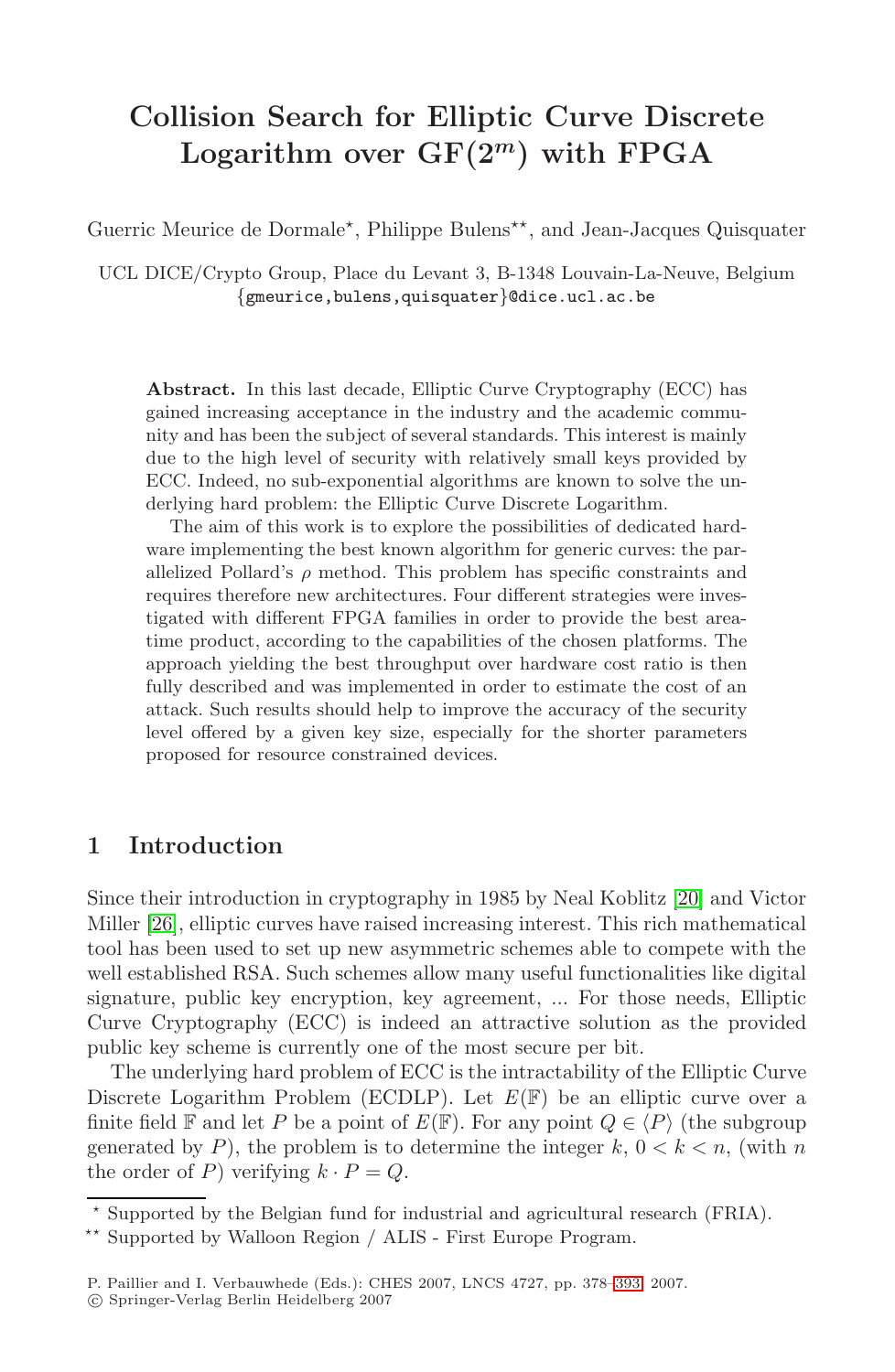# **Collision Search for Elliptic Curve Discrete Logarithm over GF(2***<sup>m</sup>***) with FPGA**

Guerric Meurice de Dormale\*, Philippe Bulens\*\*, and Jean-Jacques Quisquater

UCL DICE/Crypto Group, Place du Levant 3, B-1348 Louvain-La-Neuve, Belgium {gmeurice,bulens,quisquater}@dice.ucl.ac.be

**Abstract.** In this last decade, Elliptic Curve Cryptography (ECC) has gained increasing acceptance in the industry and the academic community and has been the subject of several standards. This interest is mainly due to the high level of security with relatively small keys provided by ECC. Indeed, no sub-exponential algorithms are known to solve the underlying hard problem: the Elliptic Curve Discrete Logarithm.

The aim of this work is to explore the possibilities of dedicated hardware implementing the best known algorithm for generic curves: the parallelized Pollard's  $\rho$  method. This problem has specific constraints and requires therefore new architectures. Four different strategies were investigated with different FPGA families in order to provide the best areatime product, according to the capabilities of the chosen platforms. The approach yielding the best throughput over hardware cost ratio is then fully described and was implemented in order to estimate the cost of an attack. Such results should help to improv[e th](#page-12-0)e accuracy of the security level offered by a given key size, especially for the shorter parameters proposed for resource constrained devices.

# **1 Introduction**

Since their introduction in cryptography in 1985 by Neal Koblitz [20] and Victor Miller [26], elliptic curves have raised increasing interest. This rich mathematical tool has been used to set up new asymmetric schemes able to compete with the well established RSA. Such schemes allow many useful functionalities like digital signature, public key encryption, key agreement, ... For those needs, Elliptic Curve Cryptography (ECC) is indeed an attractive solution as the provided public key scheme is currently one of the most secure per bit.

The underlying hard problem of ECC is the intractability of the Elliptic Curve Discrete Logarithm Problem (ECDLP[\).](#page-15-0) [L](#page-15-0)et *E*(F) be an elliptic curve over a finite field F and let P be a point of  $E(\mathbb{F})$ . For any point  $Q \in \langle P \rangle$  (the subgroup generated by P), the problem is to determine the integer  $k, 0 < k < n$ , (with n the order of P) verifying  $k \cdot P = Q$ .

 $\star$  Supported by the Belgian fund for industrial and agricultural research (FRIA).

<sup>-</sup> Supported by Walloon Region / ALIS - First Europe Program.

P. Paillier and I. Verbauwhede (Eds.): CHES 2007, LNCS 4727, pp. 378–393, 2007.

<sup>-</sup>c Springer-Verlag Berlin Heidelberg 2007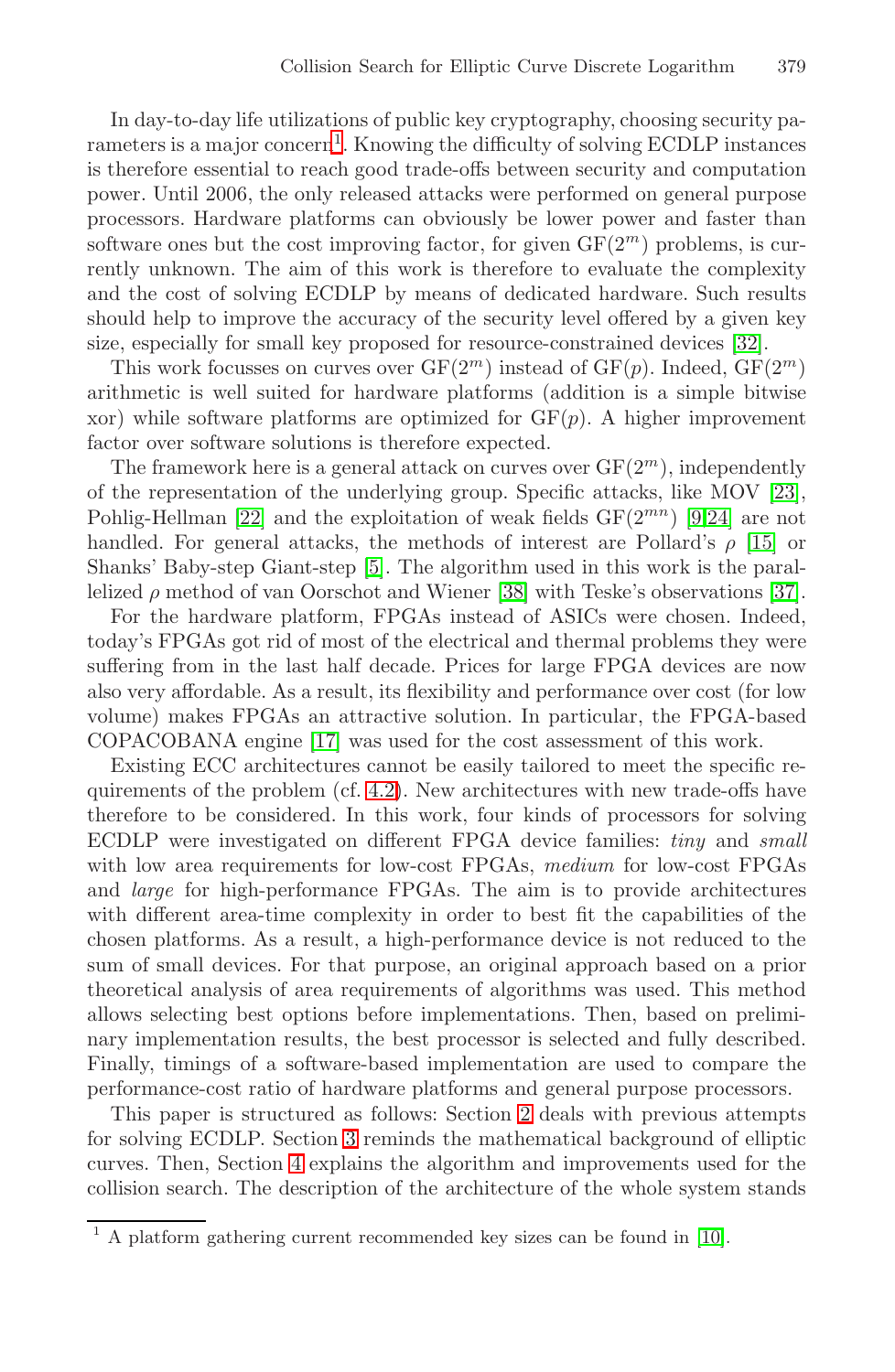In day-to-day life utilizations of public key cryptography, choosing security parameters is a major concern<sup>1</sup>. Knowing the difficulty [of so](#page-13-0)lving ECDLP instances is therefore essential to reach good trade-offs between security and computation power. Until 2006, the only released attacks were performed on general purpose processors. Hardware platforms can obviously be lower power and faster than software ones but the cost improving factor, for given  $GF(2<sup>m</sup>)$  problems, is currently unknown. The aim of this work is therefore to evaluate the complexity and the cost of solving ECDLP by means of dedicated [har](#page-13-1)dware. Such results [s](#page-12-1)hould help to improve the accuracy of the sec[ur](#page-12-2)[ity](#page-13-2) level offered by a given key size, especially for small key proposed for resource-co[nstr](#page-12-3)ained devices [32].

This wor[k f](#page-12-4)ocusses on curves over  $GF(2^m)$  instead of  $GF(p)$ . Indeed,  $GF(2^m)$ arithmetic is well suited f[or h](#page-13-3)ardware platforms (addit[ion](#page-13-4) is a simple bitwise xor) while software platforms are optimized for  $GF(p)$ . A higher improvement factor over software solutions is therefore expected.

The framework here is a general attack on curves over  $GF(2<sup>m</sup>)$ , independently of the representation of the underlying group. Specific attacks, like MOV [23], Pohlig-Hellman [22] and the exploitation of weak fields  $GF(2^{mn})$  [9,24] are not handl[ed.](#page-12-5) For general attacks, the methods of interest are Pollard's  $\rho$  [15] or Shanks' Baby-step Giant-step [5]. The algorithm used in this work is the parallelized  $\rho$  me[thod](#page-3-0) of van Oorschot and Wiener [38] with Teske's observations [37].

For the hardware platform, FPGAs instead of ASICs were chosen. Indeed, today's FPGAs got rid of most of the electrical and thermal problems they were suffering from in the last half decade. Prices for large FPGA devices are now also very affordable. As a result, its flexibility and performance over cost (for low volume) makes FPGAs an attractive solution. In particular, the FPGA-based COPACOBANA engine [17] was used for the cost assessment of this work.

Existing ECC architectures cannot be easily tailored to meet the specific requirements of the problem (cf. 4.2). New architectures with new trade-offs have therefore to be considered. In this work, four kinds of processors for solving ECDLP were investigated on different FPGA device families: *tiny* and *small* with low area requirements for low-cost FPGAs, *medium* for low-cost FPGAs and *large* for high-performance FPGAs. The aim is to provide architectures with different area-time co[mp](#page-2-0)lexity in order to best fit the capabilities of the chosen pl[at](#page-2-1)forms. As a result, a high-performance device is not reduced to the su[m o](#page-3-1)f small devices. For that purpose, an original approach based on a prior theoretical analysis of area requirements of algorithms was used. This method allows selecting best options before implementations. Then, based on preliminary implementation results, the best processor [is s](#page-12-6)elected and fully described. Finally, timings of a software-based implementation are used to compare the performance-cost ratio of hardware platforms and general purpose processors.

This paper is structured as follows: Section 2 deals with previous attempts for solving ECDLP. Section 3 reminds the mathematical background of elliptic curves. Then, Section 4 explains the algorithm and improvements used for the collision search. The description of the architecture of the whole system stands

 $1$  A platform gathering current recommended key sizes can be found in [10].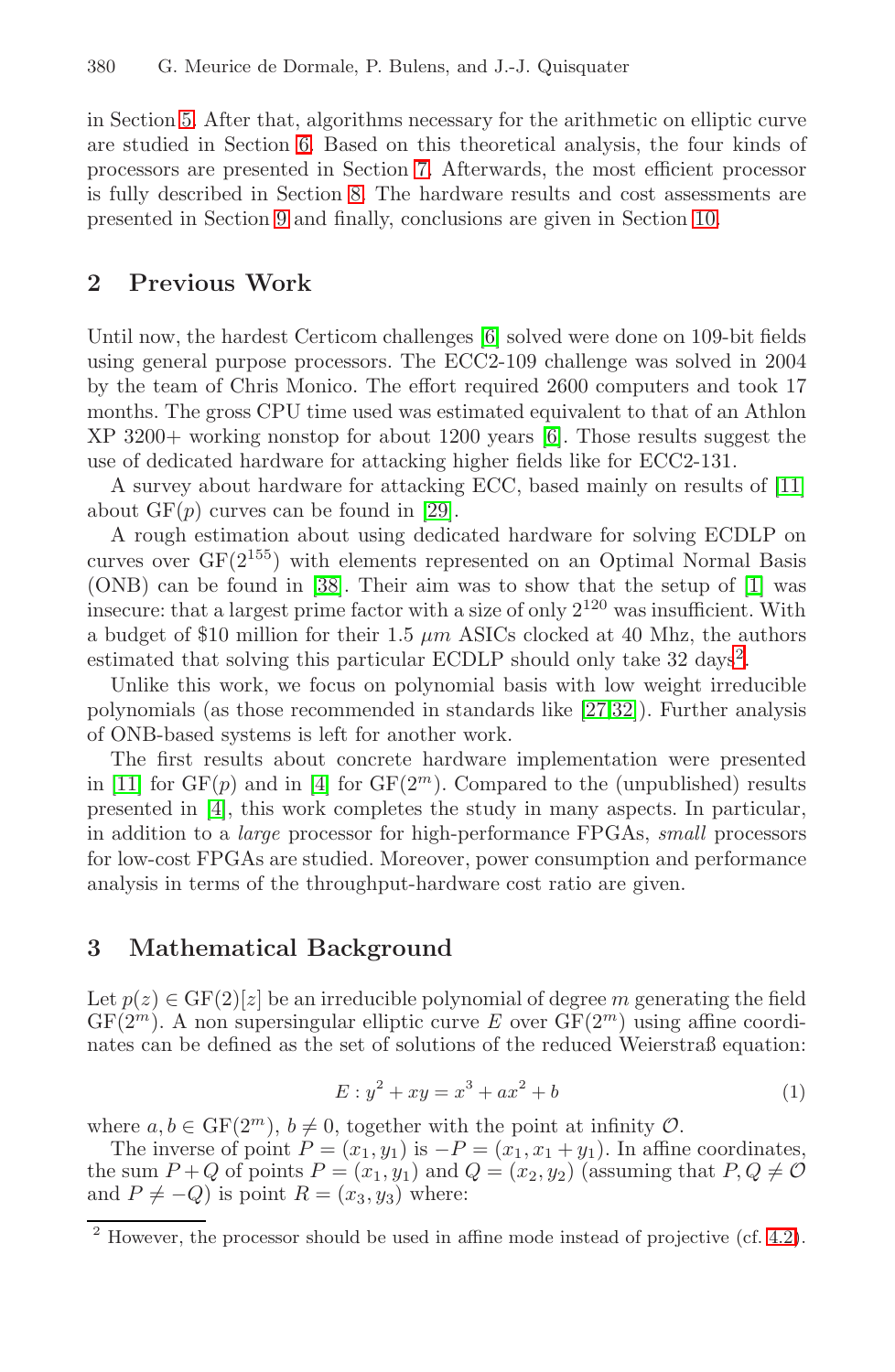<span id="page-2-0"></span>in Section 5. After that, algorithms necessary for the arithmetic on elliptic curve are studied in Section 6[. B](#page-12-7)ased on this theoretical analysis, the four kinds of processors are presented in Section 7. Afterwards, the most efficient processor is fully described in Section 8. The hardware results and cost assessments are presented in Section 9 and finally, conclusions are given in Section 10.

# **2 Previous Work**

Until now, the har[des](#page-13-5)t Certicom challenges [6] solved were done on 109-bit fields using general purpose processors. The ECC2-109 challenge was solved in 2004 by th[e te](#page-13-3)am of Chris Monico. The effort required 26[00](#page-12-8) computers and took 17 months. The gross CPU time used was estimated equivalent to that of an Athlon XP 3200+ working nonstop for about 1200 years [6]. Those results suggest the use of dedicated hardware for attacking higher fields [l](#page-2-2)ike for ECC2-131.

A survey about hardware for attacking ECC, based mainly on results of [11] about  $GF(p)$  curves can be found i[n \[2](#page-13-6)[9\].](#page-13-0)

A rough estimation about using dedicated hardware for solving ECDLP on curves over  $GF(2^{155})$  with elements represented on an Optimal Normal Basis (ON[B\)](#page-12-9) can be found in [38]. Their aim was to show that the setup of [1] was insecure: that a largest prime factor with a size of only 2<sup>120</sup> was insufficient. With a budget of \$10 million for their 1.5  $\mu$ m ASICs clocked at 40 Mhz, the authors estimated that solving this particular ECDLP should only take 32 days<sup>2</sup>.

Unlike this work, we focus on polynomial basis with low weight irreducible polynomials (as those recommended in standards like [27,32]). Further analysis of ONB-based systems is left for another work.

<span id="page-2-1"></span>The first results about concrete hardware implementation were presented in [11] for  $GF(p)$  and in [4] for  $GF(2<sup>m</sup>)$ . Compared to the (unpublished) results presented in [4], this work completes the study in many aspects. In particular, in addition to a *large* processor for high-performance FPGAs, *small* processors for low-cost FPGAs are studied. Moreover, power consumption and performance analysis in terms of the throughput-hardware cost ratio are given.

### **3 Mathematical Background**

Let  $p(z) \in \text{GF}(2)[z]$  be an irreducible polynomial of degree m generating the field  $GF(2<sup>m</sup>)$ . A non supersingular elliptic curve *E* over  $GF(2<sup>m</sup>)$  using affine coordinates can be defined as the set of solutions of the reduc[ed W](#page-3-0)eierstraß equation:

$$
E: y^2 + xy = x^3 + ax^2 + b \tag{1}
$$

<span id="page-2-2"></span>where  $a, b \in \mathrm{GF}(2^m), b \neq 0$ , together with the point at infinity  $\mathcal{O}$ .

The inverse of point  $P = (x_1, y_1)$  is  $-P = (x_1, x_1 + y_1)$ . In affine coordinates, the sum  $P + Q$  of points  $P = (x_1, y_1)$  and  $Q = (x_2, y_2)$  (assuming that  $P, Q \neq O$ and  $P \neq -Q$ ) is point  $R = (x_3, y_3)$  where:

 $\frac{2}{12}$  However, the processor should be used in affine mode instead of projective (cf. 4.2).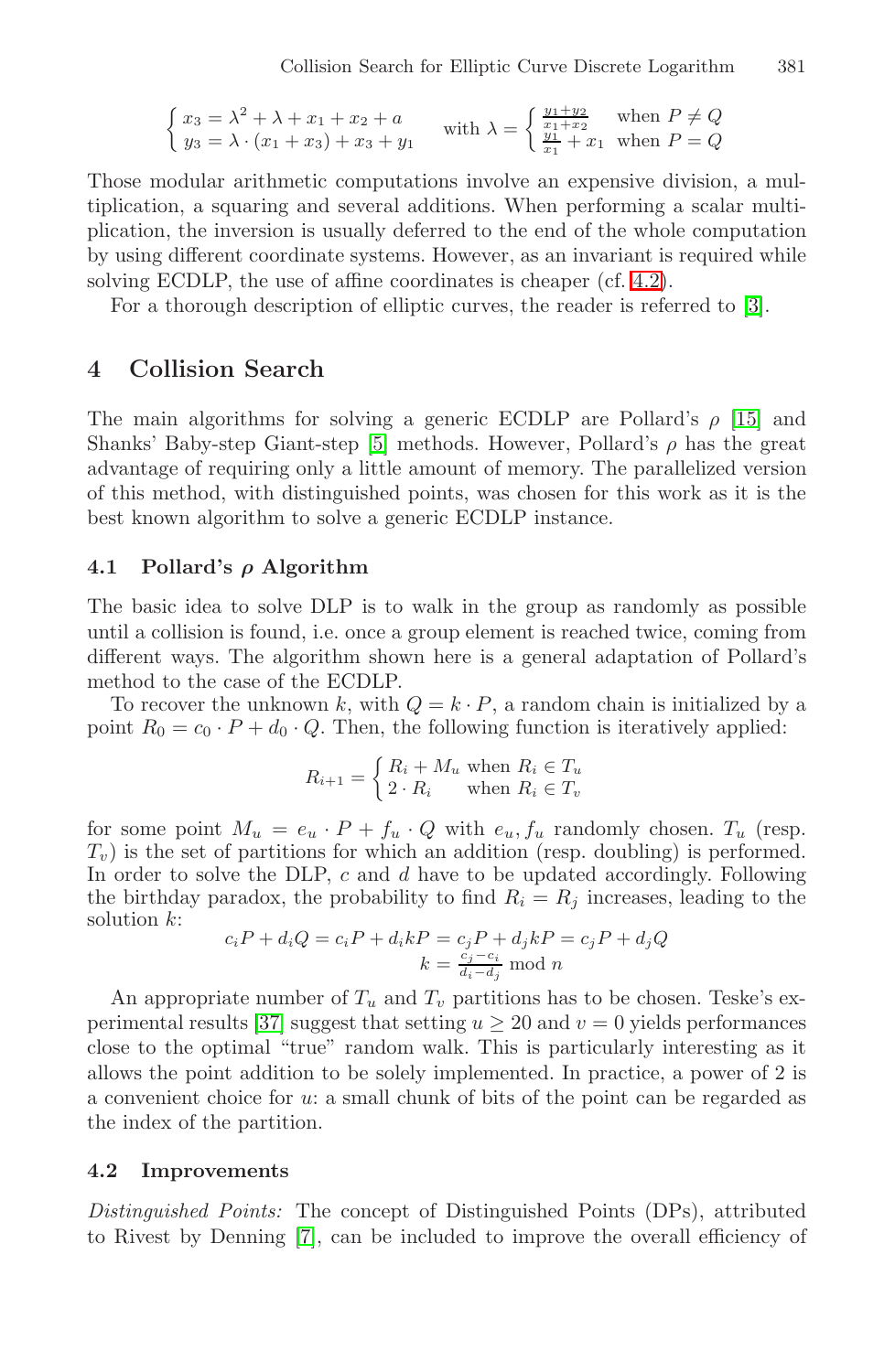$$
\begin{cases} x_3 = \lambda^2 + \lambda + x_1 + x_2 + a \\ y_3 = \lambda \cdot (x_1 + x_3) + x_3 + y_1 \end{cases}
$$
 with  $\lambda = \begin{cases} \frac{y_1 + y_2}{x_1 + x_2} & \text{when } P \neq Q \\ \frac{y_1}{x_1} + x_1 & \text{when } P = Q \end{cases}$ 

<span id="page-3-1"></span>Those modular arithmetic computations involve an expensive division, a multiplication, a squaring and several additions. When performing a scalar multiplication, the inversion is usually deferred to the en[d of](#page-12-3) the whole computation by using diff[er](#page-12-4)ent coordinate systems. However, as an invariant is required while solving ECDLP, the use of affine coordinates is cheaper (cf. 4.2).

For a thorough description of elliptic curves, the reader is referred to [3].

# **4 Collision Search**

The main algorithms for solving a generic ECDLP are Pollard's  $\rho$  [15] and Shanks' Baby-step Giant-step [5] methods. However, Pollard's  $\rho$  has the great advantage of requiring only a little amount of memory. The parallelized version of this method, with distinguished points, was chosen for this work as it is the best known algorithm to solve a generic ECDLP instance.

#### **4.1 Pollard's** *ρ* **Algorithm**

The basic idea to solve DLP is to walk in the group as randomly as possible until a collision is found, i.e. once a group element is reached twice, coming from different ways. The algorithm shown here is a general adaptation of Pollard's method to the case of the ECDLP.

To recover the unknown k, with  $Q = k \cdot P$ , a random chain is initialized by a point  $R_0 = c_0 \cdot P + d_0 \cdot Q$ . Then, the following function is iteratively applied:

$$
R_{i+1} = \begin{cases} R_i + M_u & \text{when } R_i \in T_u \\ 2 \cdot R_i & \text{when } R_i \in T_v \end{cases}
$$

[for](#page-13-4) some point  $M_u = e_u \cdot P + f_u \cdot Q$  with  $e_u, f_u$  randomly chosen.  $T_u$  (resp.  $T_v$ ) is the set of partitions for which an addition (resp. doubling) is performed. In order to solve the DLP, c and d have to be updated accordingly. Following the birthday paradox, the probability to find  $R_i = R_j$  increases, leading to the solution k:  $c_iP + d_iQ = c_iP + d_ikP = c_jP + d_jkP = c_jP + d_jQ$ 

$$
c_i P + d_i Q = c_i P + d_i k P = c_j P + d_j k P = c_j P + d_j Q
$$

$$
k = \frac{c_j - c_i}{d_i - d_j} \mod n
$$

<span id="page-3-2"></span><span id="page-3-0"></span>An appropriate number of  $T_u$  and  $T_v$  partitions has to be chosen. Teske's experimental results [37] suggest that setting  $u > 20$  and  $v = 0$  yields performances clos[e t](#page-12-11)o the optimal "true" random walk. This is particularly interesting as it allows the point addition to be solely implemented. In practice, a power of 2 is a convenient choice for u: a small chunk of bits of the point can be regarded as the index of the partition.

#### **4.2 Improvements**

*Distinguished Points:* The concept of Distinguished Points (DPs), attributed to Rivest by Denning [7], can be included to improve the overall efficiency of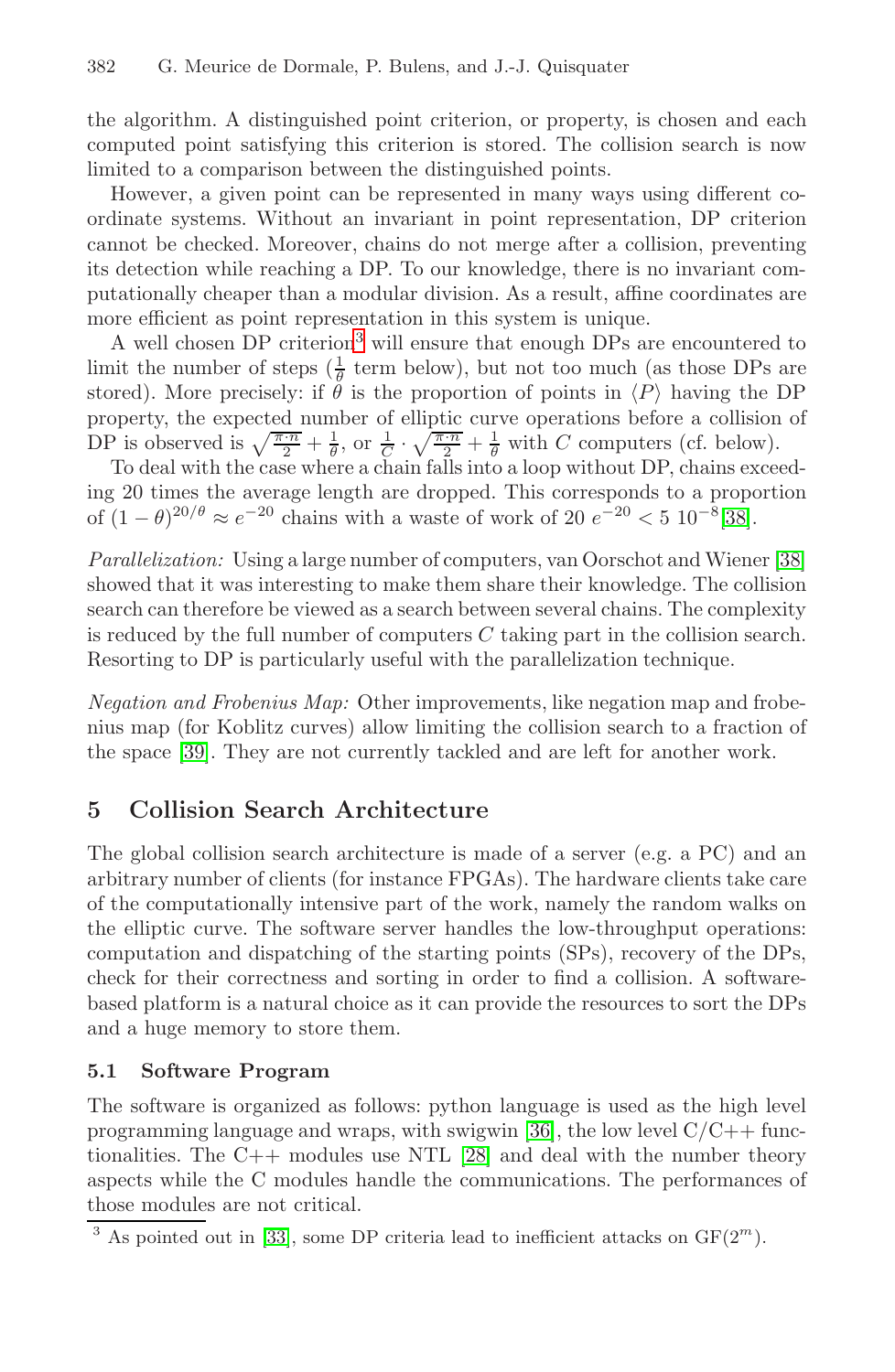#### 382 G. Meurice de Dormale, P. Bulens, and J.-J. Quisquater

the algorithm. A distinguished point criterion, or property, is chosen and each computed [p](#page-4-0)oint satisfying this criterion is stored. The collision search is now limited to a comparison between the distinguished points.

However, a given point can be represented in many ways using different coordinate systems. Without an invariant in point representation, DP criterion cannot be checked. Moreover, chains do not merge after a collision, preventing its detection while reaching a DP. To our knowledge, there is no invariant computationally cheaper than a modular division. As a result, affine coordinates are more efficient as point representation in this syste[m is](#page-13-3) unique.

A well chosen DP criterion<sup>3</sup> will ensure that enough DPs are encountered to limit the number of steps  $(\frac{1}{\theta}$  term below), but not too m[uch](#page-13-3) (as those DPs are stored). More precisely: if  $\ddot{\theta}$  is the proportion of points in  $\langle P \rangle$  having the DP property, the expected number of elliptic curve operations before a collision of DP is observed is  $\sqrt{\frac{\pi \cdot n}{2}} + \frac{1}{\theta}$ , or  $\frac{1}{C} \cdot \sqrt{\frac{\pi \cdot n}{2}} + \frac{1}{\theta}$  with C computers (cf. below).

To deal with the case where a chain falls into a loop without DP, chains exceeding 20 times the average length are dropped. This corresponds to a proportion of  $(1 - \theta)^{20/\theta} \approx e^{-20}$  chains with a waste of work of 20  $e^{-20}$  < 5 10<sup>-8</sup>[38].

*Parallelization:* Using a large number of computers, van Oorschot and Wiener [38] showed that it was interesting to make them share their knowledge. The collision search can therefore be viewed as a search between several chains. The complexity is reduced by the full number of computers  $C$  taking part in the collision search. Resorting to DP is particularly useful with the parallelization technique.

*Negation and Frobenius Map:* Other improvements, like negation map and frobenius map (for Koblitz curves) allow limiting the collision search to a fraction of the space [39]. They are not currently tackled and are left for another work.

# **5 Collision Search Architecture**

The global collision search architecture is made of a server (e.g. a PC) and an arbitrary number of clients (for instance FPGAs). The hardware clients take care of the computationally intensive part of the work, namely the random walks on the elliptic curve. The softw[are](#page-13-7) server handles the low-throughput operations: computation and disp[atch](#page-13-8)ing of the starting points (SPs), recovery of the DPs, check for their correctness and sorting in order to find a collision. A softwarebased platform is a natural choice as it can provide the resources to sort the DPs [and](#page-13-9) a huge memory to store them.

### <span id="page-4-0"></span>**5.1 Software Program**

The software is organized as follows: python language is used as the high level programming language and wraps, with swigwin [36], the low level  $C/C++$  functionalities. The C++ modules use NTL [28] and deal with the number theory aspects while the C modules handle the communications. The performances of those modules are not critical.

<sup>&</sup>lt;sup>3</sup> As pointed out in [33], some DP criteria lead to inefficient attacks on  $GF(2<sup>m</sup>)$ .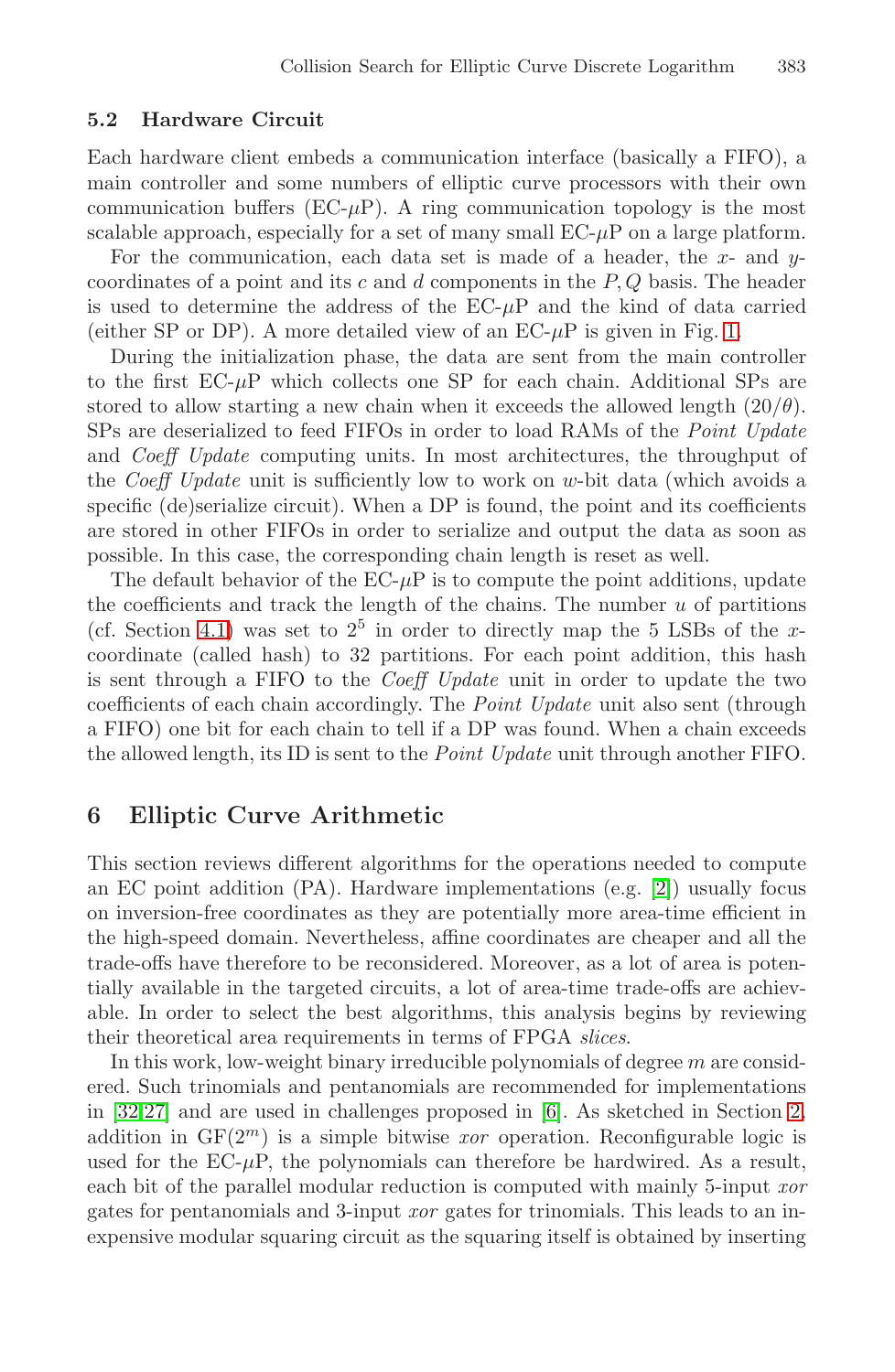#### **5.2 Hardware Circuit**

Each hardware client embeds a communication int[er](#page-14-0)face (basically a FIFO), a main controller and some numbers of elliptic curve processors with their own communication buffers ( $EC-\mu P$ ). A ring communication topology is the most scalable approach, especially for a set of many small  $EC-\mu P$  on a large platform.

For the communication, each data set is made of a header, the x- and  $y$ coordinates of a point and its c and d components in the  $P, Q$  basis. The header is used to determine the address of the  $EC-\mu P$  and the kind of data carried (either SP or DP). A more detailed view of an  $EC-\mu P$  is given in Fig. 1.

During the initialization phase, the data are sent from the main controller to the first  $EC-\mu P$  which collects one SP for each chain. Additional SPs are stored to allow starting a new chain when it exceeds the allowed length  $(20/\theta)$ . SPs are deserialized to feed FIFOs in order to load RAMs of the *Point Update* and *Coeff Update* computing units. In most architectures, the throughput of the *Coeff Update* unit is sufficiently low to work on w-bit data (which avoids a specific (de)serialize circuit). When a DP is found, the point and its coefficients are stored in other FIFOs in order to serialize and output the data as soon as possible. In this case, the corresponding chain length is reset as well.

<span id="page-5-0"></span>The default behavior of the  $EC-\mu P$  is to compute the point additions, update the coefficients and track the length of the chains. The number  $u$  of partitions (cf. Section 4.1) was set to  $2^5$  in order to directly map the 5 LSBs of the xcoordinate (called hash) to 32 partitions. For each point addition, this hash is sent through a FIFO to the *Coeff Update* unit in order to update the two coefficients of each chain accordingly. The *[Po](#page-12-12)int Update* unit also sent (through a FIFO) one bit for each chain to tell if a DP was found. When a chain exceeds the allowed length, its ID is sent to the *Point Update* unit through another FIFO.

### **6 Elliptic Curve Arithmetic**

This section reviews different algorithms for the operations needed to compute an EC point addition (PA). Hardware implementations (e.g. [2]) usually focus on inversion-free coordinates as [t](#page-12-7)hey are potentially more [ar](#page-2-0)ea-time efficient in the high-speed domain. Nevertheless, affine coordinates are cheaper and all the trade-offs have therefore to be reconsidered. Moreover, as a lot of area is potentially available in the targeted circuits, a lot of area-time trade-offs are achievable. In order to select the best algorithms, this analysis begins by reviewing their theoretical area requirements in terms of FPGA *slices*.

In this work, low-weight binary irreducible polynomials of degree  $m$  are considered. Such trinomials and pentanomials are recommended for implementations in [32,27] and are used in challenges proposed in [6]. As sketched in Section 2, addition in  $GF(2^m)$  is a simple bitwise *xor* operation. Reconfigurable logic is used for the  $EC-\mu P$ , the polynomials can therefore be hardwired. As a result, each bit of the parallel modular reduction is computed with mainly 5-input *xor* gates for pentanomials and 3-input *xor* gates for trinomials. This leads to an inexpensive modular squaring circuit as the squaring itself is obtained by inserting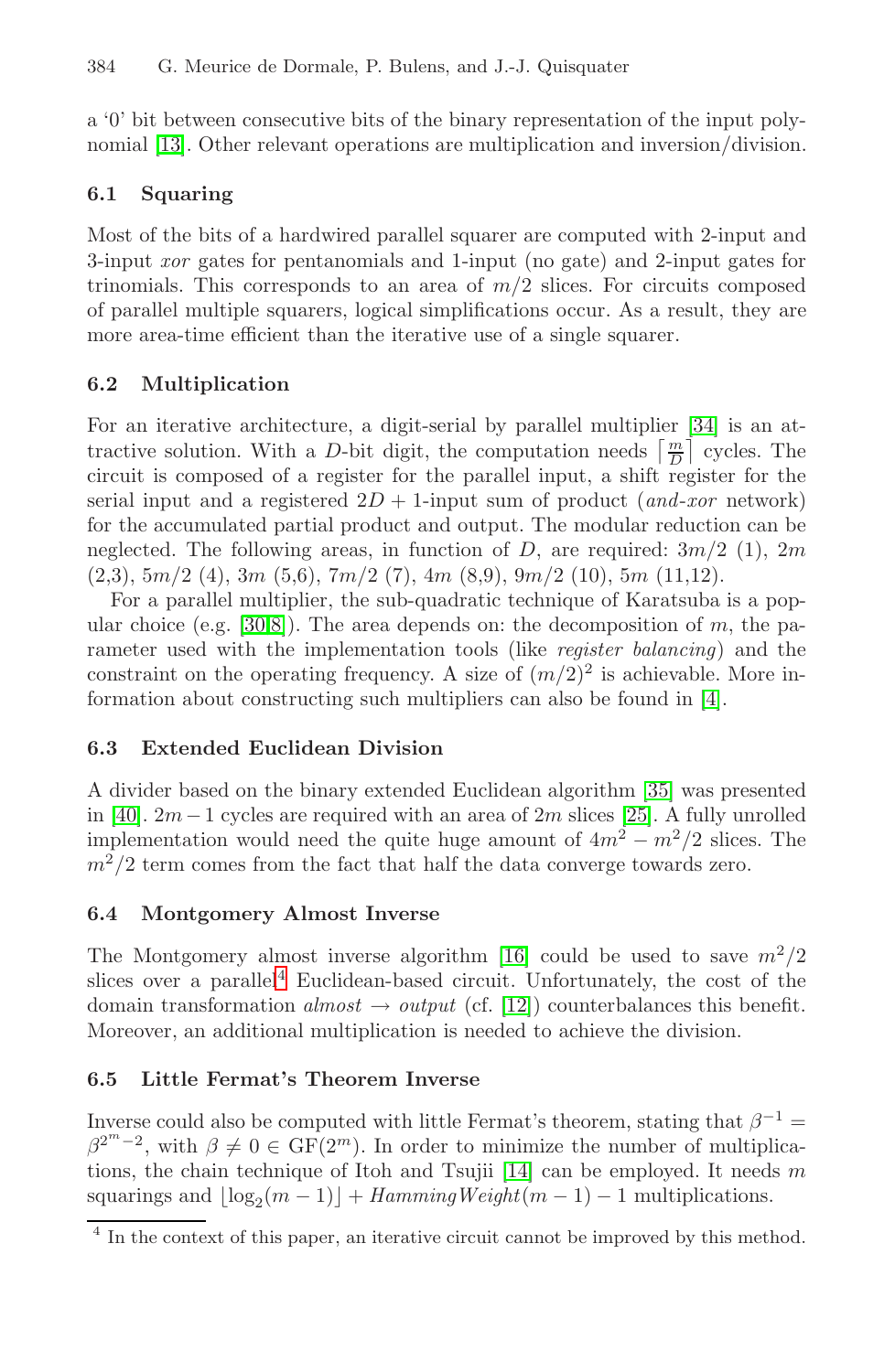#### 384 G. Meurice de Dormale, P. Bulens, and J.-J. Quisquater

a '0' bit between consecutive bits of the binary representation of the input polynomial [13]. Other relevant operations are multiplication and inversion/division.

### **6.1 Squaring**

Most of the bits of a hardwired parallel squarer [are](#page-13-10) computed with 2-input and 3-input *xor* gates for pentanomials and 1-input (no gate) and 2-input gates for trinomials. This corresponds to an area of  $m/2$  slices. For circuits composed of parallel multiple squarers, logical simplifications occur. As a result, they are more area-time efficient than the iterative use of a single squarer.

#### **6.2 Multiplication**

[F](#page-13-11)[or](#page-12-13) an iterative architecture, a digit-serial by parallel multiplier [34] is an attractive solution. With a D-bit digit, the computation needs  $\left\lceil \frac{m}{D} \right\rceil$  cycles. The circuit is composed of a register for the parallel input, a shift register for the serial input and a registered  $2D + 1$ -input sum [of](#page-12-9) product (*and-xor* network) for the accumulated partial product and output. The modular reduction can be neglected. The following areas, in function of D, are required:  $3m/2$  (1),  $2m$  $(2,3), 5m/2$  (4), 3m (5,6), 7m/2 (7), 4m (8,9), 9m/2 (10), 5m (11,12).

For a parallel multiplier, the sub-quadr[atic](#page-13-12) technique of Karatsuba is a popular choice (e.g. [30,8]). The area depen[ds](#page-13-13) on: the decomposition of m, the parameter used with the implementation tools (like *register balancing*) and the constraint on the operating frequency. A size of  $(m/2)^2$  is achievable. More information about constructing such multipliers can also be found in [4].

#### **6.3 Extended Euclide[an](#page-12-14) Division**

A [d](#page-6-0)ivider based on the binary extended Euclidean algorithm [35] was presented in [40].  $2m-1$  cycles are re[qui](#page-12-15)red with an area of  $2m$  slices [25]. A fully unrolled implementation would need the quite huge amount of  $4m^2 - m^2/2$  slices. The  $m^2/2$  term comes from the fact that half the data converge towards zero.

### **6.4 Montgomery Almost Inverse**

The Montgomery almost inverse algorithm [16] could be used to save  $m^2/2$ slices over a parallel<sup>4</sup> Euc[lide](#page-12-16)an-based circuit. Unfortunately, the cost of the domain transformation  $almost \rightarrow output$  (cf. [12]) counterbalances this benefit. Moreover, an additional multiplication is needed to achieve the division.

#### <span id="page-6-0"></span>**6.5 Little Fermat's Theorem Inverse**

Inverse could also be computed with little Fermat's theorem, stating that  $\beta^{-1}$  =  $\beta^{2^m-2}$ , with  $\beta \neq 0 \in \mathrm{GF}(2^m)$ . In order to minimize the number of multiplications, the chain technique of Itoh and Tsujii [14] can be employed. It needs  $m$ squarings and  $\lfloor \log_2(m-1) \rfloor + \text{HammingWeight}(m-1) - 1$  multiplications.

 $\frac{4}{4}$  In the context of this paper, an iterative circuit cannot be improved by this method.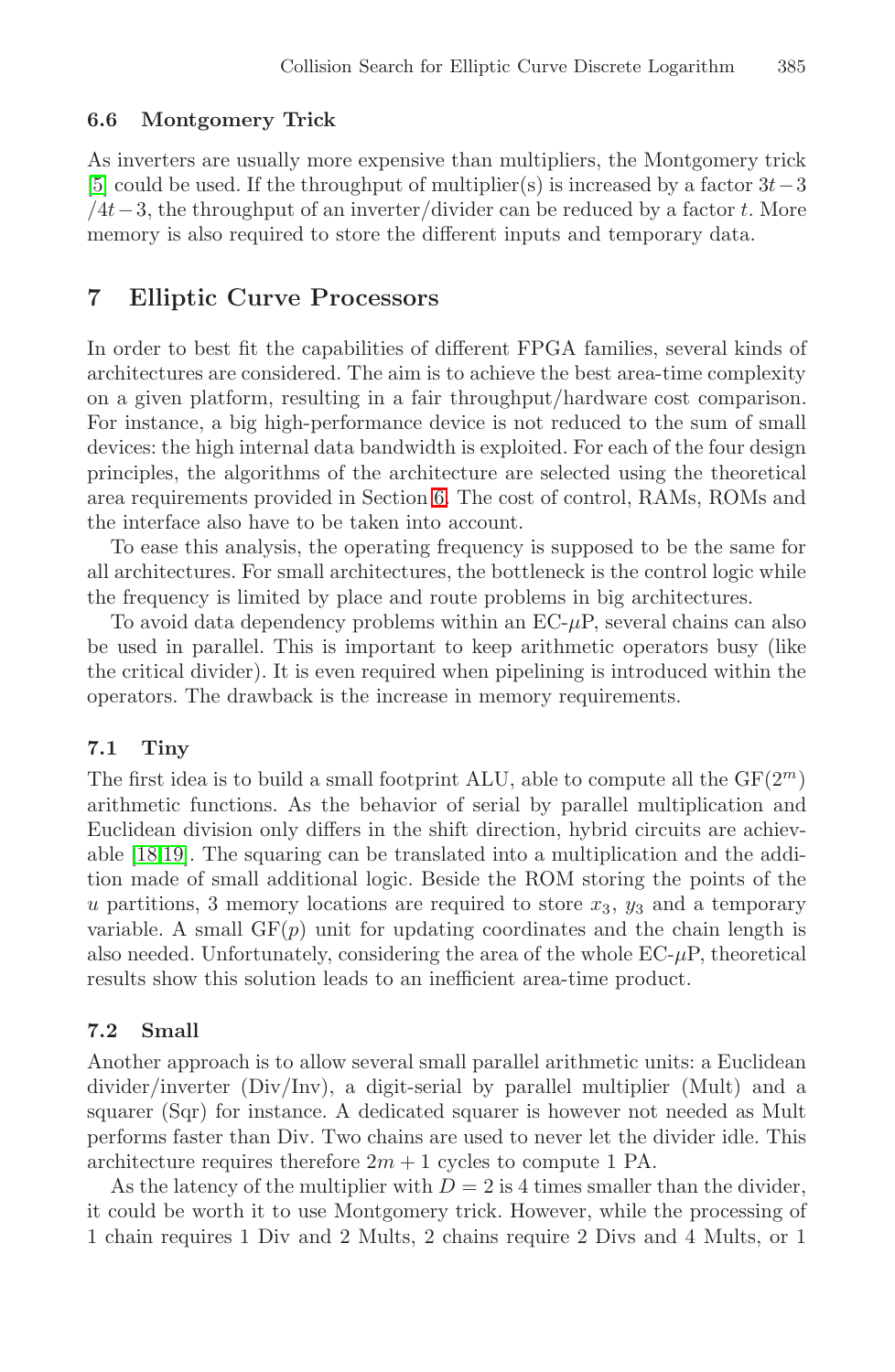#### **6.6 Montgomery Trick**

As inverters are usually more expensive than multipliers, the Montgomery trick [5] could be used. If the throughput of multiplier(s) is increased by a factor  $3t-3$  $/4t-3$ , the throughput of an inverter/divider can be reduced by a factor t. More memory is also required to store the different inputs and temporary data.

# **7 Elliptic C[urv](#page-5-0)e Processors**

In order to best fit the capabilities of different FPGA families, several kinds of architectures are considered. The aim is to achieve the best area-time complexity on a given platform, resulting in a fair throughput/hardware cost comparison. For instance, a big high-performance device is not reduced to the sum of small devices: the high internal data bandwidth is exploited. For each of the four design principles, the algorithms of the architecture are selected using the theoretical area requirements provided in Section 6. The cost of control, RAMs, ROMs and the interface also have to be taken into account.

To ease this analysis, the operating frequency is supposed to be the same for all architectures. For small architectures, the bottleneck is the control logic while the frequency is limited by place and route problems in big architectures.

To avoid data dependency problems within an  $EC-\mu P$ , several chains can also be used in parallel. This is important to keep arithmetic operators busy (like the critical divider). It is even required when pipelining is introduced within the operators. The drawback is the increase in memory requirements.

### **7.1 Tiny**

The first idea is to build a small footprint ALU, able to compute all the  $GF(2<sup>m</sup>)$ arithmetic functions. As the behavior of serial by parallel multiplication and Euclidean division only differs in the shift direction, hybrid circuits are achievable [18,19]. The squaring can be translated into a multiplication and the addition made of small additional logic. Beside the ROM storing the points of the u partitions, 3 memory locations are required to store  $x_3$ ,  $y_3$  and a temporary variable. A small  $GF(p)$  unit for updating coordinates and the chain length is also needed. Unfortunately, considering the area of the whole  $EC-\mu P$ , theoretical results show this solution leads to an inefficient area-time product.

# **7.2 Small**

Another approach is to allow several small parallel arithmetic units: a Euclidean divider/inverter (Div/Inv), a digit-serial by parallel multiplier (Mult) and a squarer (Sqr) for instance. A dedicated squarer is however not needed as Mult performs faster than Div. Two chains are used to never let the divider idle. This architecture requires therefore  $2m + 1$  cycles to compute 1 PA.

As the latency of the multiplier with  $D = 2$  is 4 times smaller than the divider. it could be worth it to use Montgomery trick. However, while the processing of 1 chain requires 1 Div and 2 Mults, 2 chains require 2 Divs and 4 Mults, or 1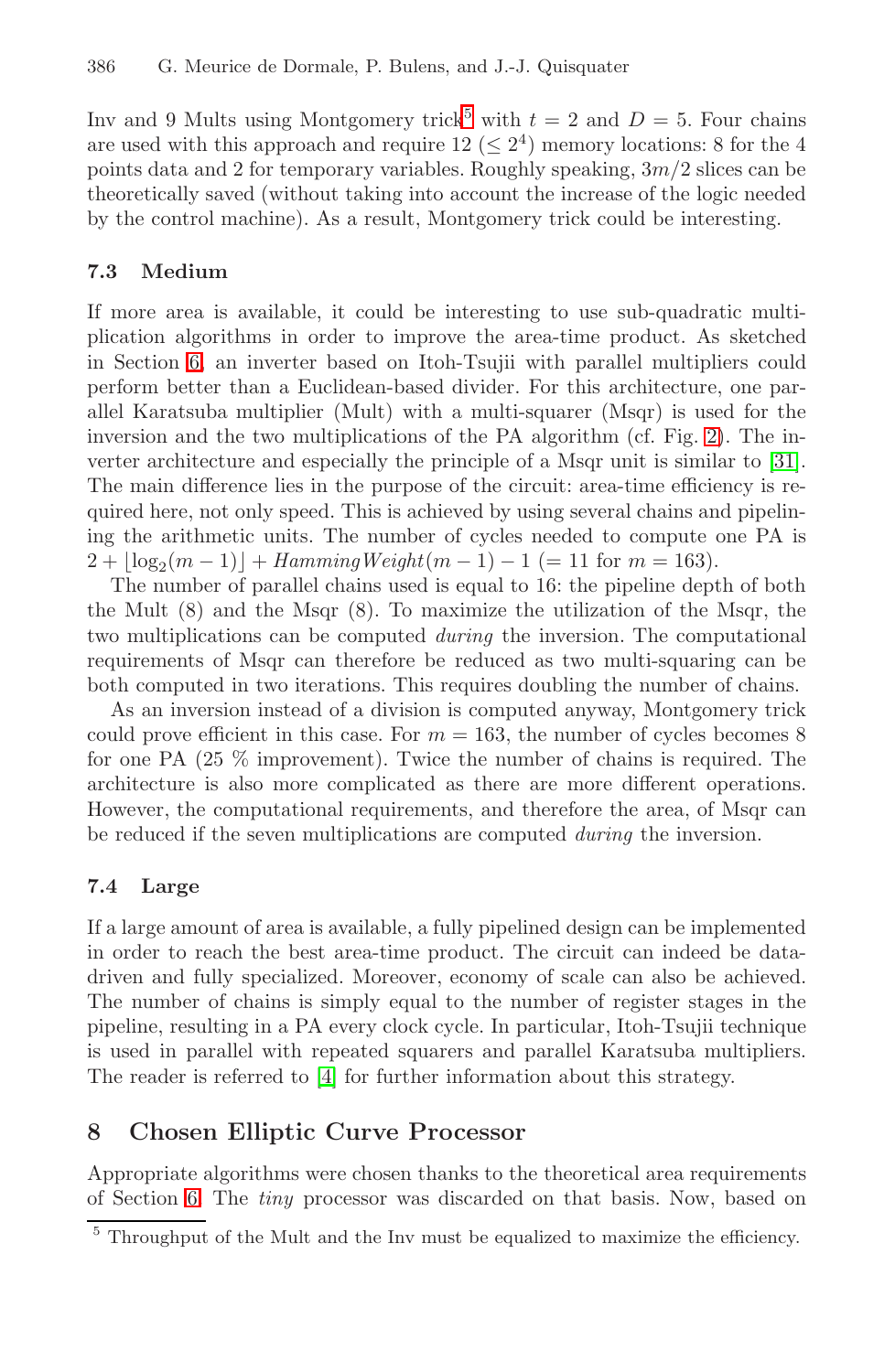Inv and 9 Mults using Montgomery trick<sup>5</sup> with  $t = 2$  and  $D = 5$ . Four chains are used with this approach and require  $12 \leq 2^4$ ) memory locations: 8 for the 4 points data and 2 for temporary variables. Roughly speaking,  $3m/2$  slices can be theoretically saved (without taking into account the increase of the logic needed by the control machine). As a result, Montgomery trick could be interesting.

#### **7.3 Medium**

If more area is available, it could be interesting to use sub-quadratic multiplication algorithms in order to improve the area-time product. As sketched in Section 6, an inverter based on Itoh-Tsujii with parallel multipliers could perform better than a Euclidean-based divider. For this architecture, one parallel Karatsuba multiplier (Mult) with a multi-squarer (Msqr) is used for the inversion and the two multiplications of the PA algorithm (cf. Fig. 2). The inverter architecture and especially the principle of a Msqr unit is similar to [31]. The main difference lies in the purpose of the circuit: area-time efficiency is required here, not only speed. This is achieved by using several chains and pipelining the arithmetic units. The number of cycles needed to compute one PA is  $2 + \lfloor \log_2(m-1) \rfloor + \text{HammingWeight}(m-1) - 1 \ (= 11 \text{ for } m = 163).$ 

The number of parallel chains used is equal to 16: the pipeline depth of both the Mult (8) and the Msqr (8). To maximize the utilization of the Msqr, the two multiplications can be computed *during* the inversion. The computational requirements of Msqr can therefore be reduced as two multi-squaring can be both computed in two iterations. This requires doubling the number of chains.

As an inversion instead of a division is computed anyway, Montgomery trick could prove efficient in this case. For  $m = 163$ , the number of cycles becomes 8 for one PA (25 % improvement). Twice the number of chains is required. The architecture is also more complicated as there are more different operations. However, the computational requirements, and therefore the area, of Msqr can be reduced if the seven multiplications are computed *during* the inversion.

### **7.4 [La](#page-12-9)rge**

If a large amount of area is available, a fully pipelined design can be implemented in order to reach the best area-time product. The circuit can indeed be datadriven and fully specialized. Moreover, economy of scale can also be achieved. The number of chains is simply equal to the number of register stages in the pipeline, resulting in a PA every clock cycle. In particular, Itoh-Tsujii technique is used in parallel with repeated squarers and parallel Karatsuba multipliers. The reader is referred to [4] for further information about this strategy.

### **8 Chosen Elliptic Curve Processor**

Appropriate algorithms were chosen thanks to the theoretical area requirements of Section 6. The *tiny* processor was discarded on that basis. Now, based on

 $<sup>5</sup>$  Throughput of the Mult and the Inv must be equalized to maximize the efficiency.</sup>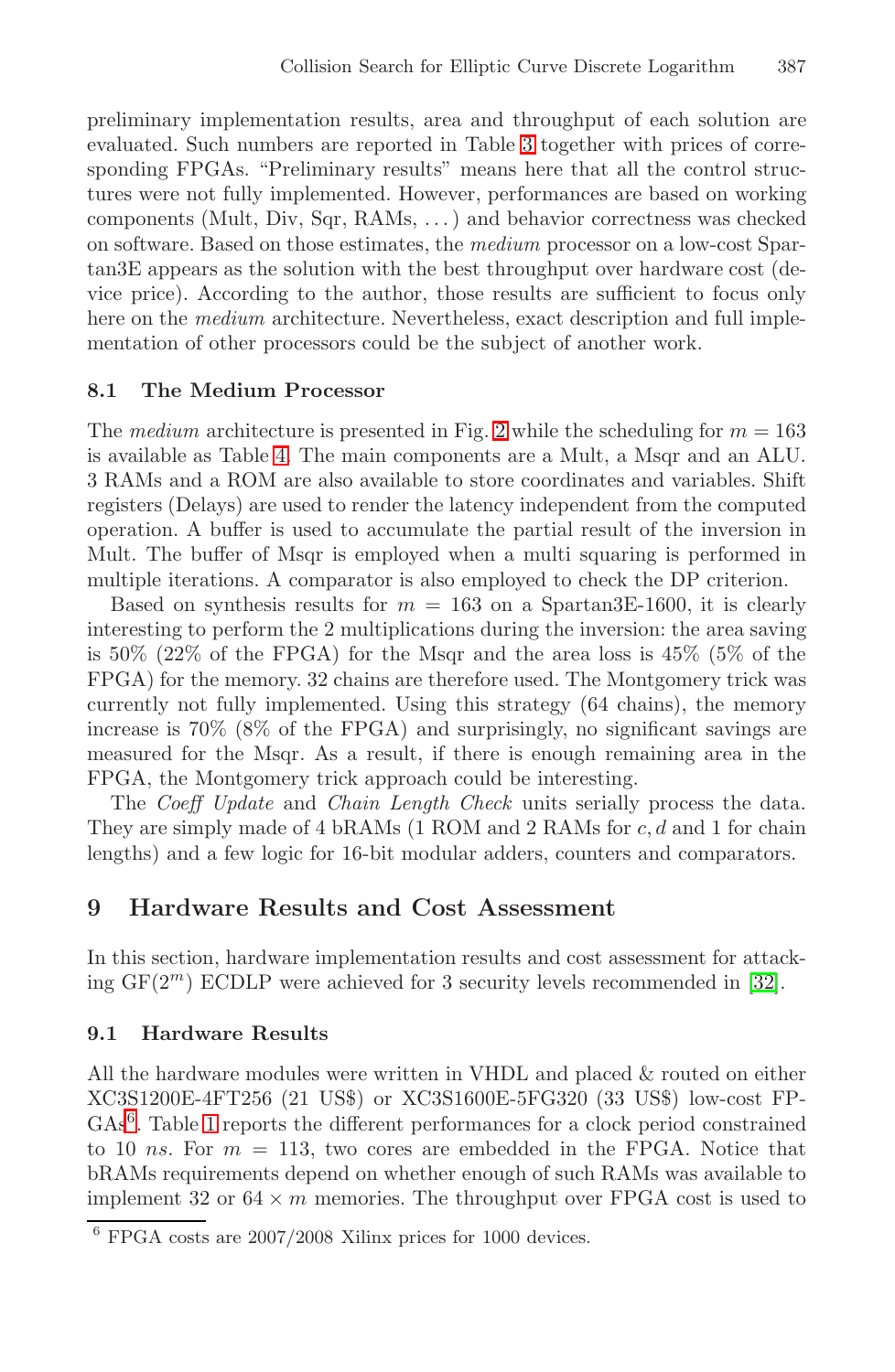preliminary implementation results, area and throughput of each solution are evaluated. Such numbers are reported in Table 3 together with prices of corresponding FPGAs. "Preliminary results" means here that all the control structures were not fully implemented. However, performances are based on working components (Mult, Div, Sqr, RAMs, . . . ) and behavior correctness was checked on software. Based on tho[se](#page-15-1) estimates, the *medium* processor on a low-cost Spart[an3](#page-15-0)E appears as the solution with the best throughput over hardware cost (device price). According to the author, those results are sufficient to focus only here on the *medium* architecture. Nevertheless, exact description and full implementation of other processors could be the subject of another work.

#### **8.1 The Medium Processor**

The *medium* architecture is presented in Fig. 2 while the scheduling for  $m = 163$ is available as Table 4. The main components are a Mult, a Msqr and an ALU. 3 RAMs and a ROM are also available to store coordinates and variables. Shift registers (Delays) are used to render the latency independent from the computed operation. A buffer is used to accumulate the partial result of the inversion in Mult. The buffer of Msqr is employed when a multi squaring is performed in multiple iterations. A comparator is also employed to check the DP criterion.

Based on synthesis results for  $m = 163$  on a Spartan3E-1600, it is clearly interesting to perform the 2 multiplications during the inversion: the area saving is 50% (22% of the FPGA) for the Msqr and the area loss is 45% (5% of the FPGA) for the memory. 32 chains are therefore used. The Montgomery trick was currently not fully implemented. Using this strategy (64 chains), the memory increase is 70% (8% of the FPGA) and surprisingly, no significant savings are measured for the Msqr. As a result, if there is enough remaining area in the FPGA, the Montgomery trick approach could be inte[rest](#page-13-0)ing.

The *Coeff Update* and *Chain Length Check* units serially process the data. They are simply made of 4 bRAMs (1 ROM and 2 RAMs for c, d and 1 for chain lengths) and a few logic for 16-bit modular adders, counters and comparators.

# **9 Hardware Results and Cost Assessment**

In this section, hardware implementation results and cost assessment for attacking  $GF(2<sup>m</sup>)$  ECDLP were achieved for 3 security levels recommended in [32].

### **9.1 Hardware Results**

All the hardware modules were written in VHDL and placed & routed on either XC3S1200E-4FT256 (21 US\$) or XC3S1600E-5FG320 (33 US\$) low-cost FP-GAs<sup>6</sup>. Table 1 reports the different performances for a clock period constrained to 10 ns. For  $m = 113$ , two cores are embedded in the FPGA. Notice that bRAMs requirements depend on whether enough of such RAMs was available to implement 32 or  $64 \times m$  memories. The throughput over FPGA cost is used to

 $\frac{6}{6}$  FPGA costs are 2007/2008 Xilinx prices for 1000 devices.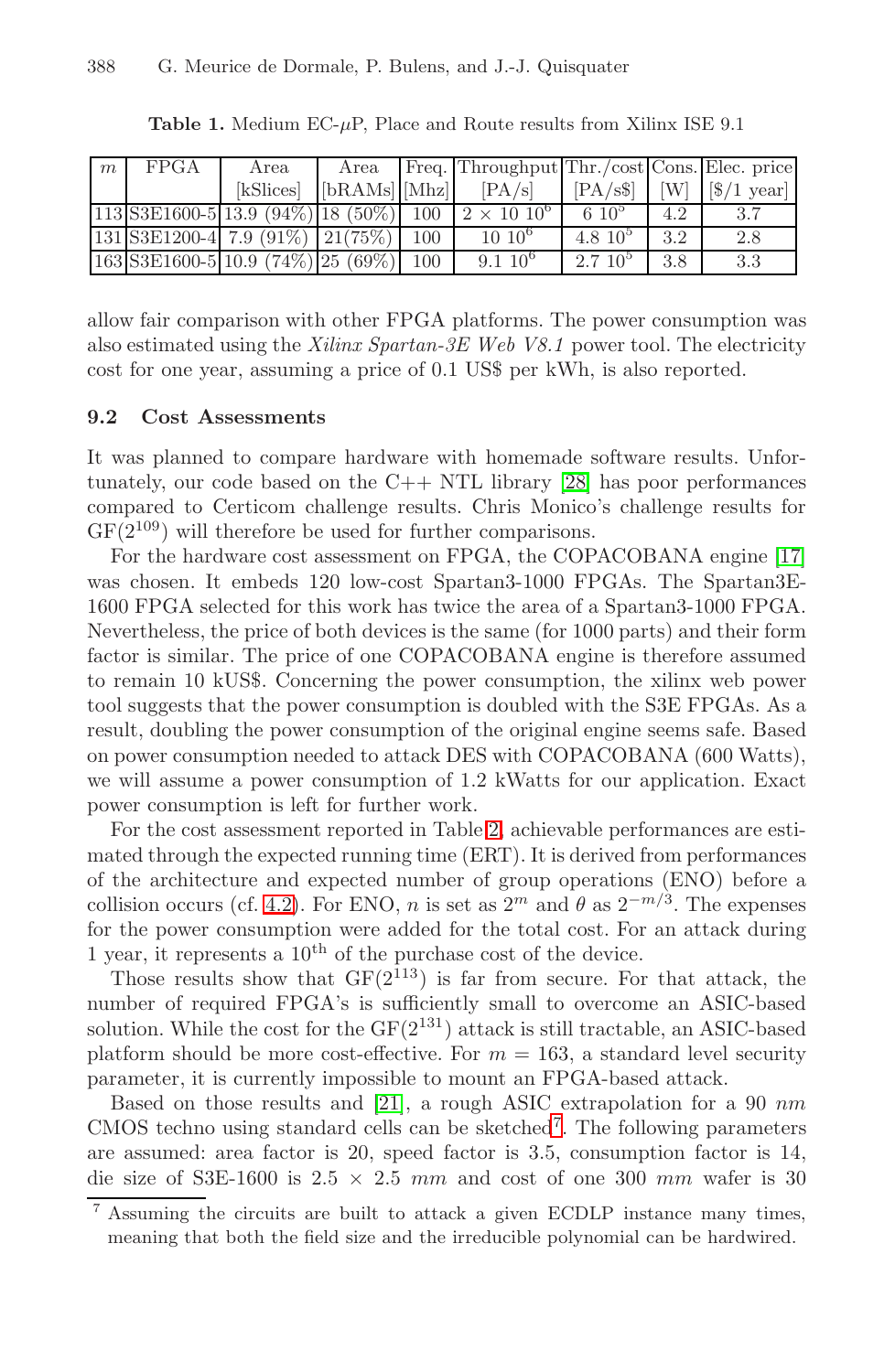<span id="page-10-1"></span>

| m | FPGA | Area                                    | Area                            | Freq. Throughput Thr./cost Cons. Elec. price                     |                     |     |                                        |
|---|------|-----------------------------------------|---------------------------------|------------------------------------------------------------------|---------------------|-----|----------------------------------------|
|   |      | [kSlices]                               | $[\text{bRAMs}]$ $[\text{Mhz}]$ | [PA/s]                                                           |                     |     | $[PA/s\$ $ W $ $ \$ $ \$ $ 1$ year $ $ |
|   |      |                                         |                                 | $113$ S3E1600-5 13.9 (94%) 18 (50%) 100   2 × 10 10 <sup>6</sup> | $6.10^{5}$          | 4.2 | 3.7                                    |
|   |      | $131$ S3E1200-4 7.9 (91%) $21(75%)$ 100 |                                 | $10 \ 10^6$                                                      | $4.8~10^{5}$        | 3.2 | 2.8                                    |
|   |      | $163$ S3E1600-5 10.9 (74%) 25 (69%) 100 |                                 | $9.1~10^6$                                                       | 2.7~10 <sup>5</sup> | 3.8 | 3.3                                    |

**Table 1.** Medium EC-μP, Place and Route results from Xilinx ISE 9.1

allow fair comparison with other FPGA platforms. The power consumption was also estimated using the *Xilinx Spartan-3E Web V8.1* power tool. The electricity cost for one year, assuming a price of 0.1 US\$ per kWh, [is](#page-12-5) [a](#page-12-5)lso reported.

#### **9.2 Cost Assessments**

It was planned to compare hardware with homemade software results. Unfortunately, our code based on the C++ NTL library [28] has poor performances compared to Certicom challenge results. Chris Monico's challenge results for  $GF(2^{109})$  will therefore be used for further comparisons.

For the hardware cost assessment on FPGA, the COPACOBANA engine [17] was chosen. It embeds 120 low-cost Spartan3-1000 FPGAs. The Spartan3E-1600 FPGA selected for this work has twice the area of a Spartan3-1000 FPGA. Nevertheless, the price of [bo](#page-11-0)th devices is the same (for 1000 parts) and their form factor is similar. The price of one COPACOBANA engine is therefore assumed to remain 10 kUS\$. Concerning the power consumption, the xilinx web power [tool](#page-3-2) suggests that the power consumption is doubled with the S3E FPGAs. As a result, doubling the power consumption of the original engine seems safe. Based on power consumption needed to attack DES with COPACOBANA (600 Watts), we will assume a power consumption of 1.2 kWatts for our application. Exact power consumption is left for further work.

For the cost assessment reported in Table 2, achievable performances are estimated through the expected running time (ERT). It is derived from performances of the architecture and expected number of group operations (ENO) before a collision occ[urs \(](#page-12-17)cf. 4.2). For ENO, n is set as  $2^m$  and  $\theta$  as  $2^{-m/3}$ . The expenses for the power consumption wer[e a](#page-10-0)dded for the total cost. For an attack during 1 year, it represents a  $10^{th}$  of the purchase cost of the device.

Those results show that  $GF(2^{113})$  is far from secure. For that attack, the number of required FPGA's is sufficiently small to overcome an ASIC-based solution. While the cost for the  $GF(2^{131})$  attack is still tractable, an ASIC-based platform should be more cost-effective. For  $m = 163$ , a standard level security parameter, it is currently impossible to mount an FPGA-based attack.

<span id="page-10-0"></span>Based on those results and [21], a rough ASIC extrapolation for a 90  $nm$ CMOS techno using standard cells can be sketched<sup>7</sup>. The following parameters are assumed: area factor is 20, speed factor is 3.5, consumption factor is 14, die size of S3E-1600 is  $2.5 \times 2.5$  mm and cost of one 300 mm wafer is 30

<sup>7</sup> Assuming the circuits are built to attack a given ECDLP instance many times, meaning that both the field size and the irreducible polynomial can be hardwired.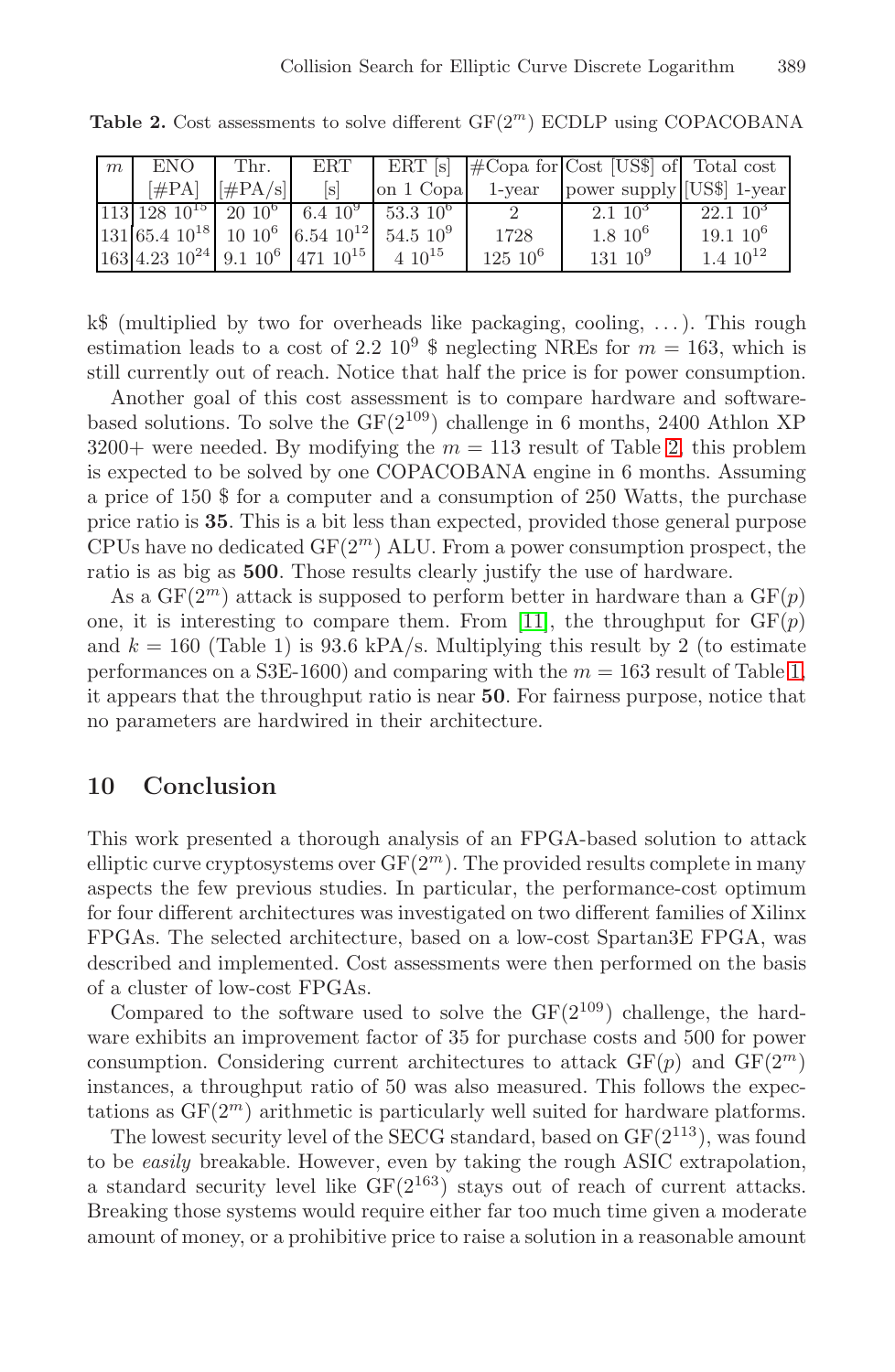<span id="page-11-0"></span>**Table 2.** Cost assessments to solve different  $GF(2^m)$  ECDLP using COPACOBANA

| m | ENO.                                                      | I Thr.              | ERT               |                                                         |               | ERT $[s]$ $\# \text{Copa}$ for Cost [US\$] of Total cost |                  |
|---|-----------------------------------------------------------|---------------------|-------------------|---------------------------------------------------------|---------------|----------------------------------------------------------|------------------|
|   |                                                           | $[\#PA]$ $[\#PA/s]$ | $\lceil s \rceil$ | on 1 Copa 1-year                                        |               | power supply [US\$] 1-year                               |                  |
|   |                                                           |                     |                   | $113\ 128\ 10^{15}$ $20\ 10^6$ $6.4\ 10^9$ $53.3\ 10^6$ |               | $2.1~10^3$                                               | $22.1~10^3$      |
|   |                                                           |                     |                   | $131 65.4 10^{18} 10 10^{6} 6.54 10^{12} 54.5 10^{9} $  | 1728          | $1.8 \; 10^6$                                            | $19.110^6$       |
|   | $163$ 4.23 $10^{24}$ 9.1 $10^6$ 471 $10^{15}$ 4 $10^{15}$ |                     |                   |                                                         | $125 \; 10^6$ | $131~10^9$                                               | $1.4 \; 10^{12}$ |

 $k\$  (multiplied by two for overheads like packaging, cooling, ...). This rough estimation leads to a cost of 2.2  $10^9$  \$ neglecting NREs for  $m = 163$ , which is still currently out of reach. Notice that half the price is for power consumption.

Another goal of this cost assessment is to compare hardware and softwarebased solutions. To solve the  $GF(2^{109})$  challenge in 6 months, 2400 Athlon XP  $3200+$  were needed. By modifying the  $m = 113$  result of Table 2, this problem is expected to be solved by one COPACOBANA engine in [6](#page-10-1) months. Assuming a price of 150 \$ for a computer and a consumption of 250 Watts, the purchase price ratio is **35**. This is a bit less than expected, provided those general purpose CPUs have no dedicated  $GF(2<sup>m</sup>)$  ALU. From a power consumption prospect, the ratio is as big as **500**. Those results clearly justify the use of hardware.

As a  $GF(2^m)$  attack is supposed to perform better in hardware than a  $GF(p)$ one, it is interesting to compare them. From [11], the throughput for  $GF(p)$ and  $k = 160$  (Table 1) is 93.6 kPA/s. Multiplying this result by 2 (to estimate performances on a S3E-1600) and comparing with the  $m = 163$  result of Table 1, it appears that the throughput ratio is near **50**. For fairness purpose, notice that no parameters are hardwired in their architecture.

# **10 Conclusion**

This work presented a thorough analysis of an FPGA-based solution to attack elliptic curve cryptosystems over  $GF(2<sup>m</sup>)$ . The provided results complete in many aspects the few previous studies. In particular, the performance-cost optimum for four different architectures was investigated on two different families of Xilinx FPGAs. The selected architecture, based on a low-cost Spartan3E FPGA, was described and implemented. Cost assessments were then performed on the basis of a cluster of low-cost FPGAs.

Compared to the software used to solve the  $GF(2^{109})$  challenge, the hardware exhibits an improvement factor of 35 for purchase costs and 500 for power consumption. Considering current architectures to attack  $GF(p)$  and  $GF(2<sup>m</sup>)$ instances, a throughput ratio of 50 was also measured. This follows the expectations as  $GF(2<sup>m</sup>)$  arithmetic is particularly well suited for hardware platforms.

The lowest security level of the SECG standard, based on  $GF(2^{113})$ , was found to be *easily* breakable. However, even by taking the rough ASIC extrapolation, a standard security level like  $GF(2^{163})$  stays out of reach of current attacks. Breaking those systems would require either far too much time given a moderate amount of money, or a prohibitive price to raise a solution in a reasonable amount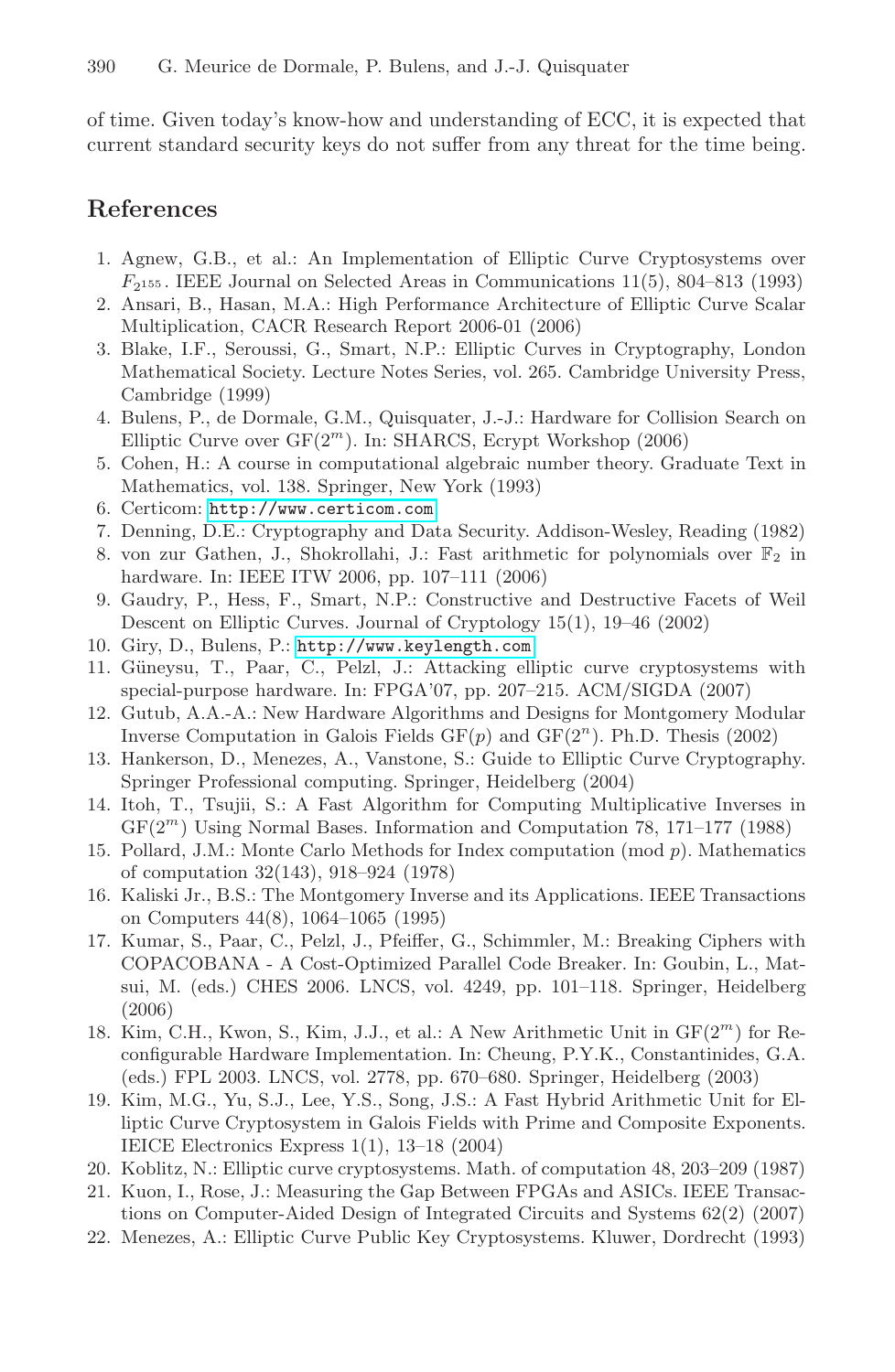<span id="page-12-12"></span><span id="page-12-10"></span><span id="page-12-8"></span>of time. Given today's know-how and understanding of ECC, it is expected that current standard security keys do not suffer from any threat for the time being.

# <span id="page-12-9"></span><span id="page-12-4"></span>**References**

- 1. Agnew, G.B., et al.: An Implementation of Elliptic Curve Cryptosystems over  $F_{2155}$ . IEEE Journal on Selected Areas in Communications 11(5), 804–813 (1993)
- <span id="page-12-11"></span><span id="page-12-7"></span>2. Ansari, B., Hasan, M.A.: High Performance Architecture of Elliptic Curve Scalar [Multiplication,](http://www.certicom.com) [CA](http://www.certicom.com)CR Research Report 2006-01 (2006)
- <span id="page-12-13"></span>3. Blake, I.F., Seroussi, G., Smart, N.P.: Elliptic Curves in Cryptography, London Mathematical Society. Lecture Notes Series, vol. 265. Cambridge University Press, Cambridge (1999)
- <span id="page-12-6"></span><span id="page-12-2"></span>4. Bulens, P., de Dormale, G.M., Quisquater, J.-J.: Hardware for Collision Search on Elliptic Curve over  $GF(2<sup>m</sup>)$ . In: SHARCS, Ecrypt Workshop (2006)
- <span id="page-12-18"></span>5. [Cohen,](http://www.keylength.com) [H.:](http://www.keylength.com) [A](http://www.keylength.com) [course](http://www.keylength.com) [in](http://www.keylength.com) [comp](http://www.keylength.com)utational algebraic number theory. Graduate Text in Mathematics, vol. 138. Springer, New York (1993)
- 6. Certicom: http://www.certicom.com
- <span id="page-12-15"></span>7. Denning, D.E.: Cryptography and Data Security. Addison-Wesley, Reading (1982)
- 8. von zur Gathen, J., Shokrollahi, J.: Fast arithmetic for polynomials over  $\mathbb{F}_2$  in hardware. In: IEEE ITW 2006, pp. 107–111 (2006)
- 9. Gaudry, P., Hess, F., Smart, N.P.: Constructive and Destructive Facets of Weil Descent on Elliptic Curves. Journal of Cryptology 15(1), 19–46 (2002)
- <span id="page-12-16"></span>10. Giry, D., Bulens, P.: http://www.keylength.com
- <span id="page-12-14"></span><span id="page-12-3"></span>11. G¨uneysu, T., Paar, C., Pelzl, J.: Attacking elliptic curve cryptosystems with special-purpose hardware. In: FPGA'07, pp. 207–215. ACM/SIGDA (2007)
- <span id="page-12-5"></span>12. Gutub, A.A.-A.: New Hardware Algorithms and Designs for Montgomery Modular Inverse Computation in Galois Fields  $GF(p)$  and  $GF(2<sup>n</sup>)$ . Ph.D. Thesis (2002)
- 13. Hankerson, D., Menezes, A., Vanstone, S.: Guide to Elliptic Curve Cryptography. Springer Professional computing. Springer, Heidelberg (2004)
- 14. Itoh, T., Tsujii, S.: A Fast Algorithm for Computing Multiplicative Inverses in  $GF(2<sup>m</sup>)$  Using Normal Bases. Information and Computation 78, 171–177 (1988)
- 15. Pollard, J.M.: Monte Carlo Methods for Index computation (mod p). Mathematics of computation 32(143), 918–924 (1978)
- 16. Kaliski Jr., B.S.: The Montgomery Inverse and its Applications. IEEE Transactions on Computers 44(8), 1064–1065 (1995)
- <span id="page-12-17"></span><span id="page-12-0"></span>17. Kumar, S., Paar, C., Pelzl, J., Pfeiffer, G., Schimmler, M.: Breaking Ciphers with COPACOBANA - A Cost-Optimized Parallel Code Breaker. In: Goubin, L., Matsui, M. (eds.) CHES 2006. LNCS, vol. 4249, pp. 101–118. Springer, Heidelberg (2006)
- <span id="page-12-1"></span>18. Kim, C.H., Kwon, S., Kim, J.J., et al.: A New Arithmetic Unit in  $GF(2<sup>m</sup>)$  for Reconfigurable Hardware Implementation. In: Cheung, P.Y.K., Constantinides, G.A. (eds.) FPL 2003. LNCS, vol. 2778, pp. 670–680. Springer, Heidelberg (2003)
- 19. Kim, M.G., Yu, S.J., Lee, Y.S., Song, J.S.: A Fast Hybrid Arithmetic Unit for Elliptic Curve Cryptosystem in Galois Fields with Prime and Composite Exponents. IEICE Electronics Express 1(1), 13–18 (2004)
- 20. Koblitz, N.: Elliptic curve cryptosystems. Math. of computation 48, 203–209 (1987)
- 21. Kuon, I., Rose, J.: Measuring the Gap Between FPGAs and ASICs. IEEE Transactions on Computer-Aided Design of Integrated Circuits and Systems 62(2) (2007)
- 22. Menezes, A.: Elliptic Curve Public Key Cryptosystems. Kluwer, Dordrecht (1993)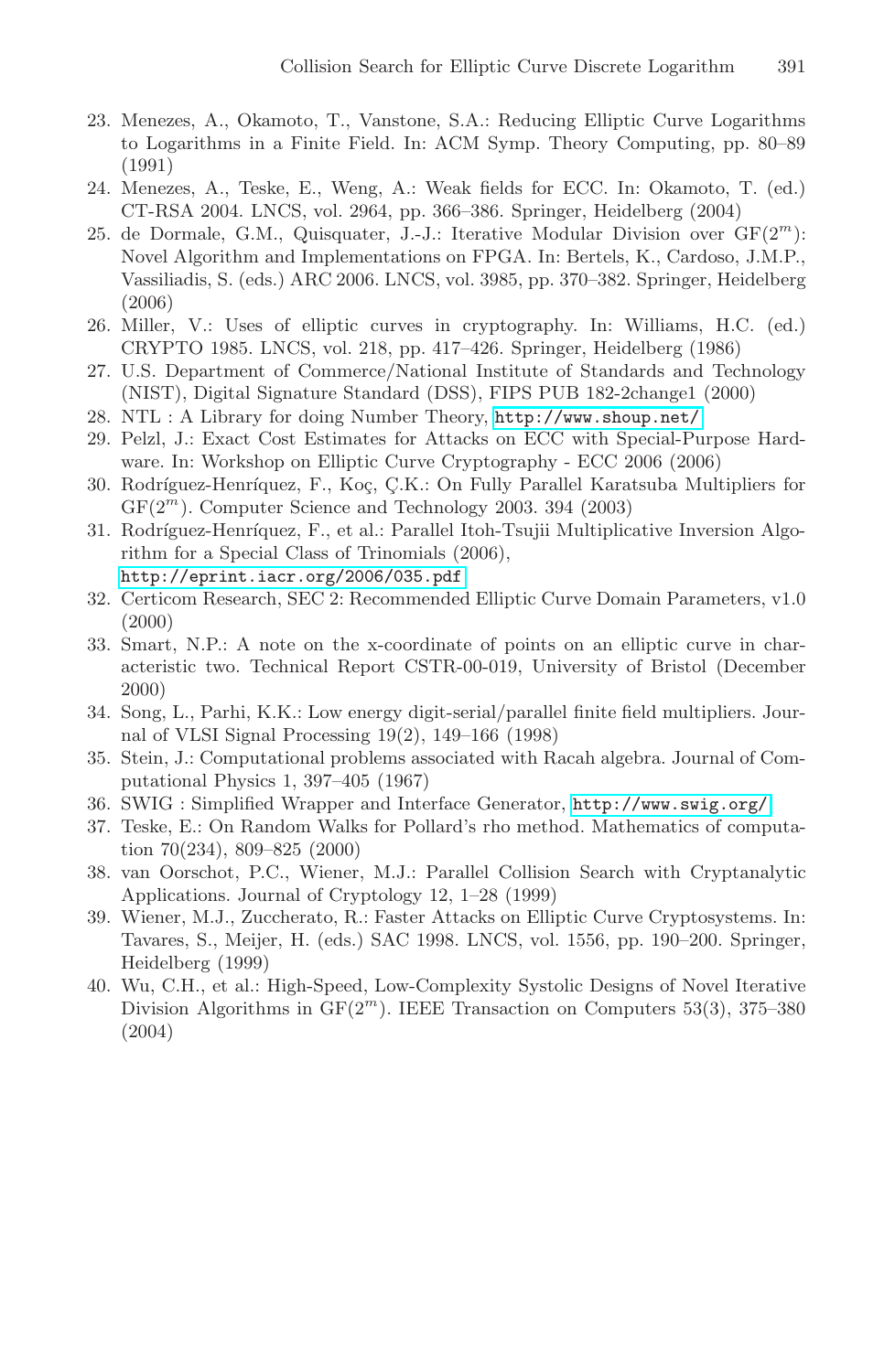- <span id="page-13-13"></span><span id="page-13-2"></span><span id="page-13-1"></span>23. Menezes, A., Okamoto, T., Vanstone, S.A.: Reducing Elliptic Curve Logarithms to Logarithms in a Finite Field. In: ACM Symp. Theory Computing, pp. 80–89 (1991)
- <span id="page-13-8"></span><span id="page-13-6"></span>24. Menezes, A., Teske, E., Weng, A.: Weak fields for ECC. In: Okamoto, T. (ed.) CT-RSA 2004. LNCS, vol. 2964, pp. 366–386. Springer, Heidelberg (2004)
- <span id="page-13-11"></span><span id="page-13-5"></span>25. de Dormale, G.M., Qu[isquater,](http://www.shoup.net/) [J.-J.:](http://www.shoup.net/) [Iterative](http://www.shoup.net/) Modular Division over  $GF(2<sup>m</sup>)$ : Novel Algorithm and Implementations on FPGA. In: Bertels, K., Cardoso, J.M.P., Vassiliadis, S. (eds.) ARC 2006. LNCS, vol. 3985, pp. 370–382. Springer, Heidelberg (2006)
- 26. Miller, V.: Uses of elliptic curves in cryptography. In: Williams, H.C. (ed.) CRYPTO 1985. LNCS, vol. 218, pp. 417–426. Springer, Heidelberg (1986)
- <span id="page-13-0"></span>27. U.S. Department of Commerce/National Institute of Standards and Technology [\(NIST\),](http://eprint.iacr.org/2006/035.pdf) [Digital](http://eprint.iacr.org/2006/035.pdf) [Signa](http://eprint.iacr.org/2006/035.pdf)ture Standard (DSS), FIPS PUB 182-2change1 (2000)
- 28. NTL : A Library for doing Number Theory, http://www.shoup.net/
- <span id="page-13-9"></span>29. Pelzl, J.: Exact Cost Estimates for Attacks on ECC with Special-Purpose Hardware. In: Workshop on Elliptic Curve Cryptography - ECC 2006 (2006)
- <span id="page-13-10"></span>30. Rodríguez-Henríquez, F., Koç, Ç.K.: On Fully Parallel Karatsuba Multipliers for  $GF(2<sup>m</sup>)$ . Computer Science and Technology 2003. 394 (2003)
- <span id="page-13-12"></span>31. Rodríguez-Henríquez, F., et al.: Parallel Itoh-Tsujii Multiplicative Inversion Algorithm for a Special Class of Trinomials (2006), http://eprint.iacr.org/2006/035.pdf
- <span id="page-13-7"></span><span id="page-13-4"></span>32. Certicom Research, SEC 2: Reco[mmended Elliptic Curve D](http://www.swig.org/)omain Parameters, v1.0 (2000)
- <span id="page-13-3"></span>33. Smart, N.P.: A note on the x-coordinate of points on an elliptic curve in characteristic two. Technical Report CSTR-00-019, University of Bristol (December 2000)
- 34. Song, L., Parhi, K.K.: Low energy digit-serial/parallel finite field multipliers. Journal of VLSI Signal Processing 19(2), 149–166 (1998)
- 35. Stein, J.: Computational problems associated with Racah algebra. Journal of Computational Physics 1, 397–405 (1967)
- 36. SWIG : Simplified Wrapper and Interface Generator, http://www.swig.org/
- 37. Teske, E.: On Random Walks for Pollard's rho method. Mathematics of computation 70(234), 809–825 (2000)
- 38. van Oorschot, P.C., Wiener, M.J.: Parallel Collision Search with Cryptanalytic Applications. Journal of Cryptology 12, 1–28 (1999)
- 39. Wiener, M.J., Zuccherato, R.: Faster Attacks on Elliptic Curve Cryptosystems. In: Tavares, S., Meijer, H. (eds.) SAC 1998. LNCS, vol. 1556, pp. 190–200. Springer, Heidelberg (1999)
- 40. Wu, C.H., et al.: High-Speed, Low-Complexity Systolic Designs of Novel Iterative Division Algorithms in  $GF(2<sup>m</sup>)$ . IEEE Transaction on Computers 53(3), 375–380 (2004)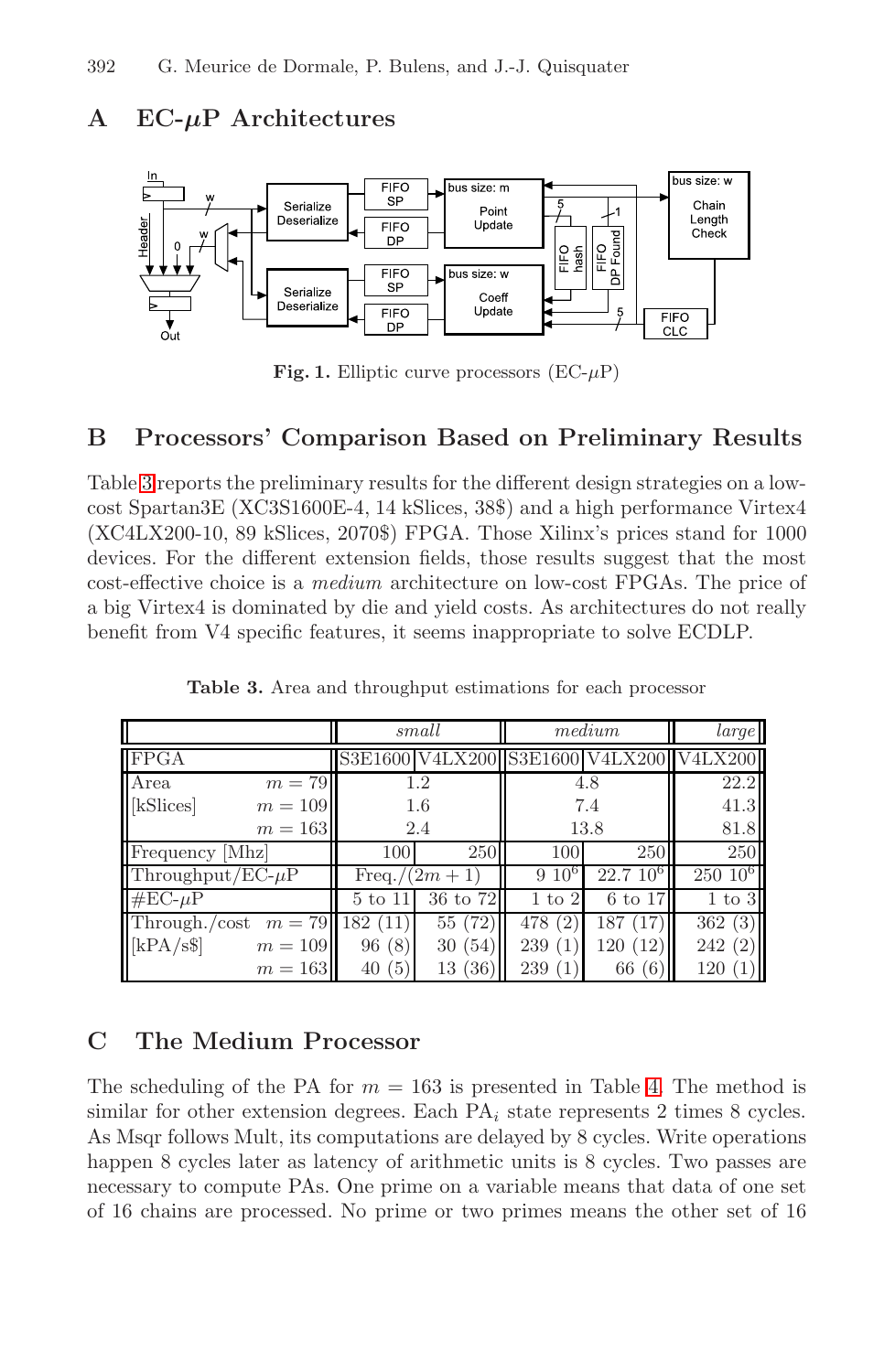# **A EC-***μ***P Architectures**



<span id="page-14-0"></span>**Fig. 1.** Elliptic curve processors  $(EC-\mu P)$ 

# **B Processors' Comparison Based on Preliminary Results**

Table 3 reports the preliminary results for the different design strategies on a lowcost Spartan3E (XC3S1600E-4, 14 kSlices, 38\$) and a high performance Virtex4 (XC4LX200-10, 89 kSlices, 2070\$) FPGA. Those Xilinx's prices stand for 1000 devices. For the different extension fields, those results suggest that the most cost-effective choice is a *medium* architecture on low-cost FPGAs. The price of a big Virtex4 is dominated by die and yield costs. As architectures do not really benefit from V4 specific features, it seems inappropriate to solve ECDLP.

|                                       | small             |          | medium            | large             |                                         |
|---------------------------------------|-------------------|----------|-------------------|-------------------|-----------------------------------------|
| FPGA                                  |                   |          |                   |                   | S3E1600 V4LX200 S3E1600 V4LX200 V4LX200 |
| Area<br>$m=79$                        | 1.2               |          | 4.8               |                   | 22.2                                    |
| [kSlices]<br>$m=109$                  | 1.6               |          | 7.4               |                   | 41.3                                    |
| $m=163$                               | 2.4               |          | 13.8              |                   | 81.8                                    |
| Frequency [Mhz]                       | 100               | 250      | 100               | 250               | 250                                     |
| Throughput/ $EC-\mu P$                | Freq./ $(2m + 1)$ |          | $9~10^{\circ}$    | $22.7~10^{\circ}$ | $250~10^6$                              |
| $\# \mathrm{EC}\text{-}\mu\mathrm{P}$ | 5 to 11           | 36 to 72 | $1 \text{ to } 2$ | 6 to 17           | $1$ to $3$                              |
| Through./cost                         | $m = 79$ 182 (11) | 55(72)   | (2)<br>478        | 187               | 362(3)                                  |
| [kPA/s\$]<br>$m=109$                  | 96(8)             | 30(54)   | 239               | 120(12)           | 242<br>(2)                              |
| $m=163$                               | 40(5)             | 13(36)   | 239               | (6)<br>66         | 120                                     |

**Table 3.** Area and throughput estimations for each processor

# **C The Medium Processor**

The scheduling of the PA for  $m = 163$  is presented in Table 4. The method is similar for other extension degrees. Each  $PA_i$  state represents 2 times 8 cycles. As Msqr follows Mult, its computations are delayed by 8 cycles. Write operations happen 8 cycles later as latency of arithmetic units is 8 cycles. Two passes are necessary to compute PAs. One prime on a variable means that data of one set of 16 chains are processed. No prime or two primes means the other set of 16